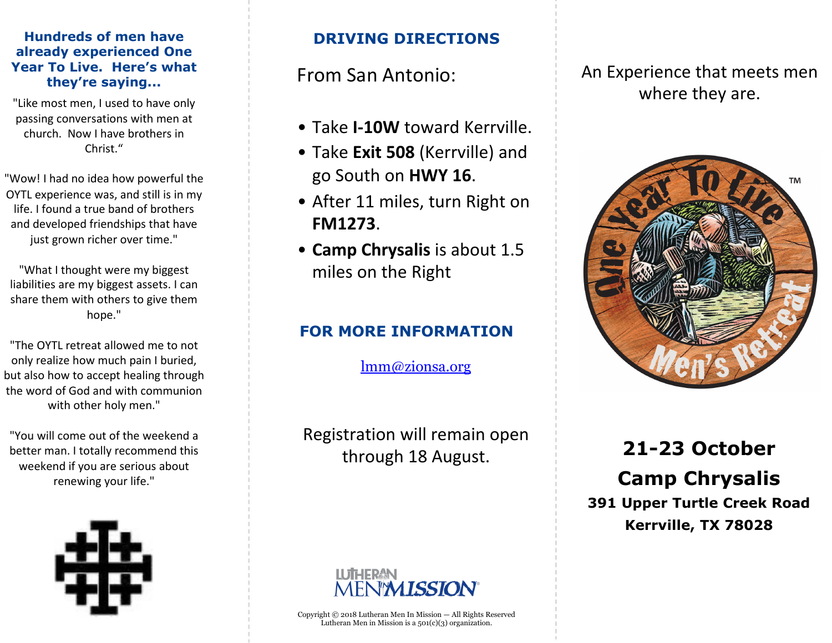#### **Hundreds of men have already experienced One Year To Live. Here's what they're saying...**

"Like most men, I used to have only passing conversations with men at church. Now I have brothers in Christ."

"Wow! I had no idea how powerful the OYTL experience was, and still is in my life. I found a true band of brothers and developed friendships that have just grown richer over time."

"What I thought were my biggest liabilities are my biggest assets. I can share them with others to give them hope."

"The OYTL retreat allowed me to not only realize how much pain I buried, but also how to accept healing through the word of God and with communion with other holy men."

"You will come out of the weekend a better man. I totally recommend this weekend if you are serious about renewing your life."



## **DRIVING DIRECTIONS**

## From San Antonio:

- Take **I-10W** toward Kerrville.
- Take **Exit 508** (Kerrville) and go South on **HWY 16**.
- After 11 miles, turn Right on **FM1273**.
- **Camp Chrysalis** is about 1.5 miles on the Right

## **FOR MORE INFORMATION**

lmm@zionsa.org

Registration will remain open through 18 August.

# *ISSION*

Copyright © 2018 Lutheran Men In Mission — All Rights Reserved Lutheran Men in Mission is a 501(c)(3) organization.

An Experience that meets men where they are.



**21-23 October Camp Chrysalis 391 Upper Turtle Creek Road Kerrville, TX 78028**